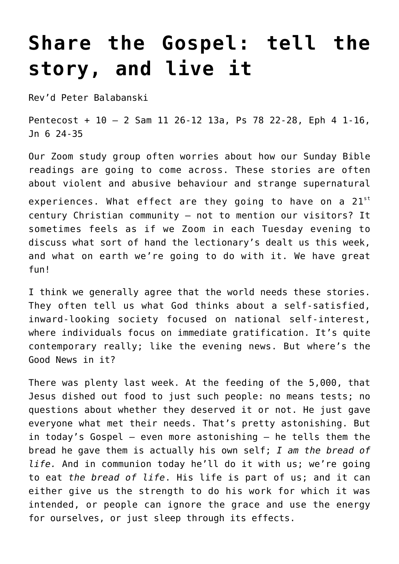## **[Share the Gospel: tell the](https://stjohnsadelaide.org.au/tell-the-story-and-live-it/) [story, and live it](https://stjohnsadelaide.org.au/tell-the-story-and-live-it/)**

Rev'd Peter Balabanski

Pentecost + 10 – 2 Sam 11 26-12 13a, Ps 78 22-28, Eph 4 1-16, Jn 6 24-35

Our Zoom study group often worries about how our Sunday Bible readings are going to come across. These stories are often about violent and abusive behaviour and strange supernatural experiences. What effect are they going to have on a  $21^{st}$ century Christian community – not to mention our visitors? It sometimes feels as if we Zoom in each Tuesday evening to discuss what sort of hand the lectionary's dealt us this week, and what on earth we're going to do with it. We have great fun!

I think we generally agree that the world needs these stories. They often tell us what God thinks about a self-satisfied, inward-looking society focused on national self-interest, where individuals focus on immediate gratification. It's quite contemporary really; like the evening news. But where's the Good News in it?

There was plenty last week. At the feeding of the 5,000, that Jesus dished out food to just such people: no means tests; no questions about whether they deserved it or not. He just gave everyone what met their needs. That's pretty astonishing. But in today's Gospel – even more astonishing – he tells them the bread he gave them is actually his own self; *I am the bread of life.* And in communion today he'll do it with us; we're going to eat *the bread of life*. His life is part of us; and it can either give us the strength to do his work for which it was intended, or people can ignore the grace and use the energy for ourselves, or just sleep through its effects.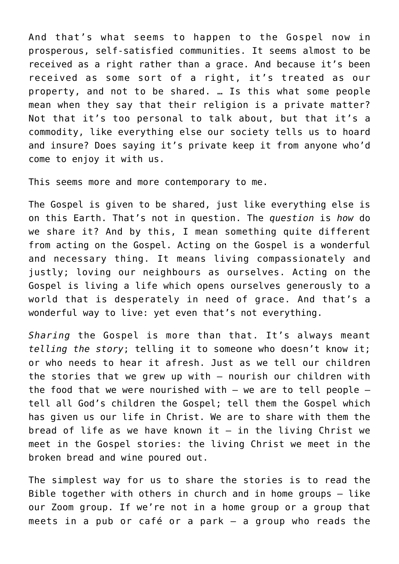And that's what seems to happen to the Gospel now in prosperous, self-satisfied communities. It seems almost to be received as a right rather than a grace. And because it's been received as some sort of a right, it's treated as our property, and not to be shared. … Is this what some people mean when they say that their religion is a private matter? Not that it's too personal to talk about, but that it's a commodity, like everything else our society tells us to hoard and insure? Does saying it's private keep it from anyone who'd come to enjoy it with us.

This seems more and more contemporary to me.

The Gospel is given to be shared, just like everything else is on this Earth. That's not in question. The *question* is *how* do we share it? And by this, I mean something quite different from acting on the Gospel. Acting on the Gospel is a wonderful and necessary thing. It means living compassionately and justly; loving our neighbours as ourselves. Acting on the Gospel is living a life which opens ourselves generously to a world that is desperately in need of grace. And that's a wonderful way to live: yet even that's not everything.

*Sharing* the Gospel is more than that. It's always meant *telling the story*; telling it to someone who doesn't know it; or who needs to hear it afresh. Just as we tell our children the stories that we grew up with – nourish our children with the food that we were nourished with  $-$  we are to tell people  $$ tell all God's children the Gospel; tell them the Gospel which has given us our life in Christ. We are to share with them the bread of life as we have known it  $-$  in the living Christ we meet in the Gospel stories: the living Christ we meet in the broken bread and wine poured out.

The simplest way for us to share the stories is to read the Bible together with others in church and in home groups – like our Zoom group. If we're not in a home group or a group that meets in a pub or café or a park – a group who reads the